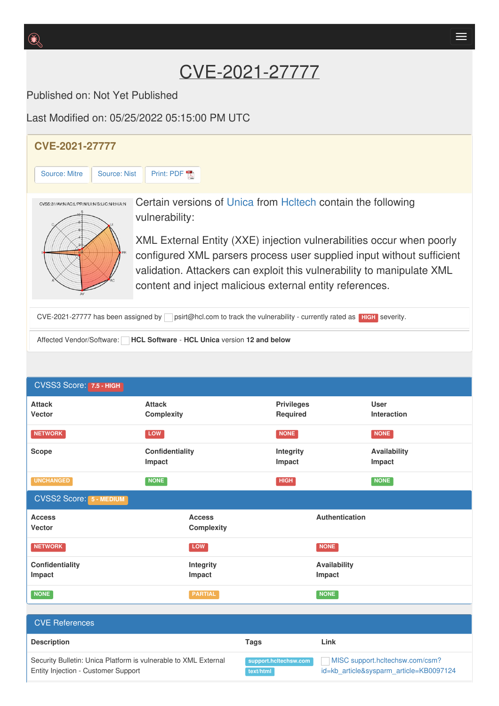Published on: Not Yet Published

Last Modified on: 05/25/2022 05:15:00 PM UTC